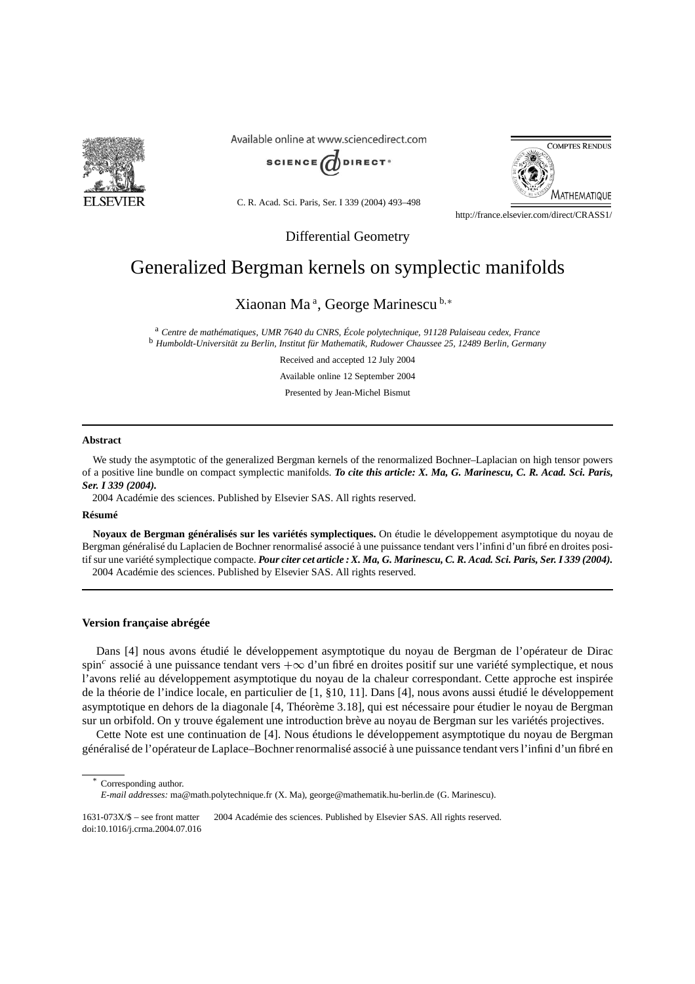

Available online at www.sciencedirect.com



C. R. Acad. Sci. Paris, Ser. I 339 (2004) 493–498



http://france.elsevier.com/direct/CRASS1/

Differential Geometry

# Generalized Bergman kernels on symplectic manifolds

Xiaonan Ma <sup>a</sup> , George Marinescu <sup>b</sup>*,*<sup>∗</sup>

<sup>a</sup> *Centre de mathématiques, UMR 7640 du CNRS, École polytechnique, 91128 Palaiseau cedex, France* <sup>b</sup> *Humboldt-Universität zu Berlin, Institut für Mathematik, Rudower Chaussee 25, 12489 Berlin, Germany*

Received and accepted 12 July 2004

Available online 12 September 2004

Presented by Jean-Michel Bismut

#### **Abstract**

We study the asymptotic of the generalized Bergman kernels of the renormalized Bochner–Laplacian on high tensor powers of a positive line bundle on compact symplectic manifolds. *To cite this article: X. Ma, G. Marinescu, C. R. Acad. Sci. Paris, Ser. I 339 (2004).*

2004 Académie des sciences. Published by Elsevier SAS. All rights reserved.

## **Résumé**

**Noyaux de Bergman généralisés sur les variétés symplectiques.** On étudie le développement asymptotique du noyau de Bergman généralisé du Laplacien de Bochner renormalisé associé à une puissance tendant vers l'infini d'un fibré en droites positif sur une variété symplectique compacte. *Pour citer cet article : X. Ma, G. Marinescu, C. R. Acad. Sci. Paris, Ser. I 339 (2004).* 2004 Académie des sciences. Published by Elsevier SAS. All rights reserved.

### **Version française abrégée**

Dans [4] nous avons étudié le développement asymptotique du noyau de Bergman de l'opérateur de Dirac spin*<sup>c</sup>* associé à une puissance tendant vers +∞ d'un fibré en droites positif sur une variété symplectique, et nous l'avons relié au développement asymptotique du noyau de la chaleur correspondant. Cette approche est inspirée de la théorie de l'indice locale, en particulier de [1, §10, 11]. Dans [4], nous avons aussi étudié le développement asymptotique en dehors de la diagonale [4, Théorème 3.18], qui est nécessaire pour étudier le noyau de Bergman sur un orbifold. On y trouve également une introduction brève au noyau de Bergman sur les variétés projectives.

Cette Note est une continuation de [4]. Nous étudions le développement asymptotique du noyau de Bergman généralisé de l'opérateur de Laplace–Bochner renormalisé associé à une puissance tendant vers l'infini d'un fibré en

Corresponding author.

*E-mail addresses:* ma@math.polytechnique.fr (X. Ma), george@mathematik.hu-berlin.de (G. Marinescu).

<sup>1631-073</sup>X/\$ – see front matter 2004 Académie des sciences. Published by Elsevier SAS. All rights reserved. doi:10.1016/j.crma.2004.07.016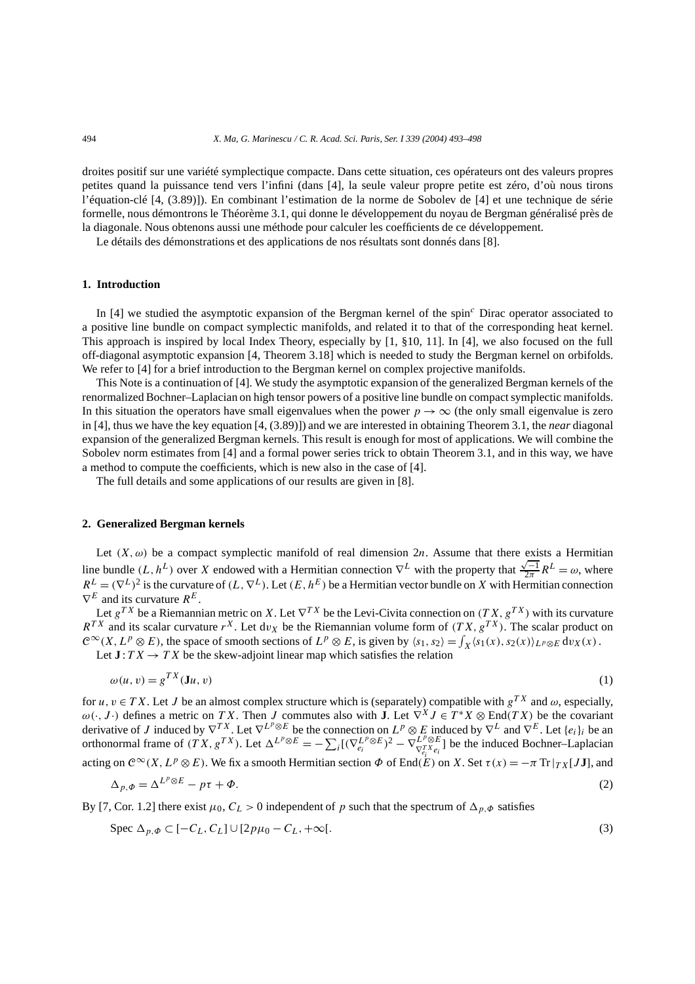droites positif sur une variété symplectique compacte. Dans cette situation, ces opérateurs ont des valeurs propres petites quand la puissance tend vers l'infini (dans [4], la seule valeur propre petite est zéro, d'où nous tirons l'équation-clé [4, (3.89)]). En combinant l'estimation de la norme de Sobolev de [4] et une technique de série formelle, nous démontrons le Théorème 3.1, qui donne le développement du noyau de Bergman généralisé près de la diagonale. Nous obtenons aussi une méthode pour calculer les coefficients de ce développement.

Le détails des démonstrations et des applications de nos résultats sont donnés dans [8].

## **1. Introduction**

In [4] we studied the asymptotic expansion of the Bergman kernel of the spin*<sup>c</sup>* Dirac operator associated to a positive line bundle on compact symplectic manifolds, and related it to that of the corresponding heat kernel. This approach is inspired by local Index Theory, especially by [1, §10, 11]. In [4], we also focused on the full off-diagonal asymptotic expansion [4, Theorem 3.18] which is needed to study the Bergman kernel on orbifolds. We refer to [4] for a brief introduction to the Bergman kernel on complex projective manifolds.

This Note is a continuation of [4]. We study the asymptotic expansion of the generalized Bergman kernels of the renormalized Bochner–Laplacian on high tensor powers of a positive line bundle on compact symplectic manifolds. In this situation the operators have small eigenvalues when the power  $p \rightarrow \infty$  (the only small eigenvalue is zero in [4], thus we have the key equation [4, (3.89)]) and we are interested in obtaining Theorem 3.1, the *near* diagonal expansion of the generalized Bergman kernels. This result is enough for most of applications. We will combine the Sobolev norm estimates from [4] and a formal power series trick to obtain Theorem 3.1, and in this way, we have a method to compute the coefficients, which is new also in the case of [4].

The full details and some applications of our results are given in [8].

### **2. Generalized Bergman kernels**

Let  $(X, \omega)$  be a compact symplectic manifold of real dimension 2*n*. Assume that there exists a Hermitian Let (*x*, ω) be a compact symplectic mannon of ical dimension  $2n$ . Assume that there exists a fictionial line bundle (*L*, *h*<sup>L</sup>) over *X* endowed with a Hermitian connection  $∇^L$  with the property that  $\frac{\sqrt{-1}}{2\pi}$  $R^L = (\nabla^L)^2$  is the curvature of  $(L, \nabla^L)$ . Let  $(E, h^E)$  be a Hermitian vector bundle on *X* with Hermitian connection  $\nabla^E$  and its curvature  $R^E$ .

Let  $g^{TX}$  be a Riemannian metric on *X*. Let  $\nabla^{TX}$  be the Levi-Civita connection on  $(T X, g^{TX})$  with its curvature  $R^{TX}$  and its scalar curvature  $r^X$ . Let d*v<sub>X</sub>* be the Riemannian volume form of  $(TX, g^{TX})$ . The scalar product on  $\mathbb{C}^{\infty}(X, L^p \otimes E)$ , the space of smooth sections of  $L^p \otimes E$ , is given by  $\langle s_1, s_2 \rangle = \int_X \langle s_1(x), s_2(x) \rangle_{L^p \otimes E} dv_X(x)$ . Let  $J: TX \to TX$  be the skew-adjoint linear map which satisfies the relation

$$
\omega(u, v) = g^{TX}(\mathbf{J}u, v) \tag{1}
$$

for  $u, v \in TX$ . Let *J* be an almost complex structure which is (separately) compatible with  $g^{TX}$  and  $\omega$ , especially,  $ω(·, J ·)$  defines a metric on *TX*. Then *J* commutes also with **J**. Let  $∇<sup>X</sup>J ∈ T<sup>*</sup>X ⊗ End(TX)$  be the covariant derivative of *J* induced by  $\nabla^{TX}$ . Let  $\nabla^{L^p \otimes E}$  be the connection on  $L^p \otimes E$  induced by  $\nabla^L$  and  $\nabla^E$ . Let  $\{e_i\}_i$  be an orthonormal frame of  $(TX, g^{TX})$ . Let  $\Delta^{L^p \otimes E} = -\sum_i [(\nabla_{e_i}^{L^p \otimes E})^2 - \nabla_{\nabla_{e_i}^{TX} e_i}^{L^p \otimes E}]$  be the induced Bochner–Laplacian acting on  $C^{\infty}(X, L^p \otimes E)$ . We fix a smooth Hermitian section  $\Phi$  of End $(E)$  on *X*. Set  $\tau(x) = -\pi \text{Tr} |_{TX}[J\mathbf{J}]$ , and

$$
\Delta_{p,\Phi} = \Delta^{L^p \otimes E} - p\tau + \Phi. \tag{2}
$$

By [7, Cor. 1.2] there exist  $\mu_0$ ,  $C_L > 0$  independent of *p* such that the spectrum of  $\Delta_{p,\Phi}$  satisfies

$$
\text{Spec } \Delta_{p,\Phi} \subset [-C_L, C_L] \cup [2p\mu_0 - C_L, +\infty[.
$$
\n<sup>(3)</sup>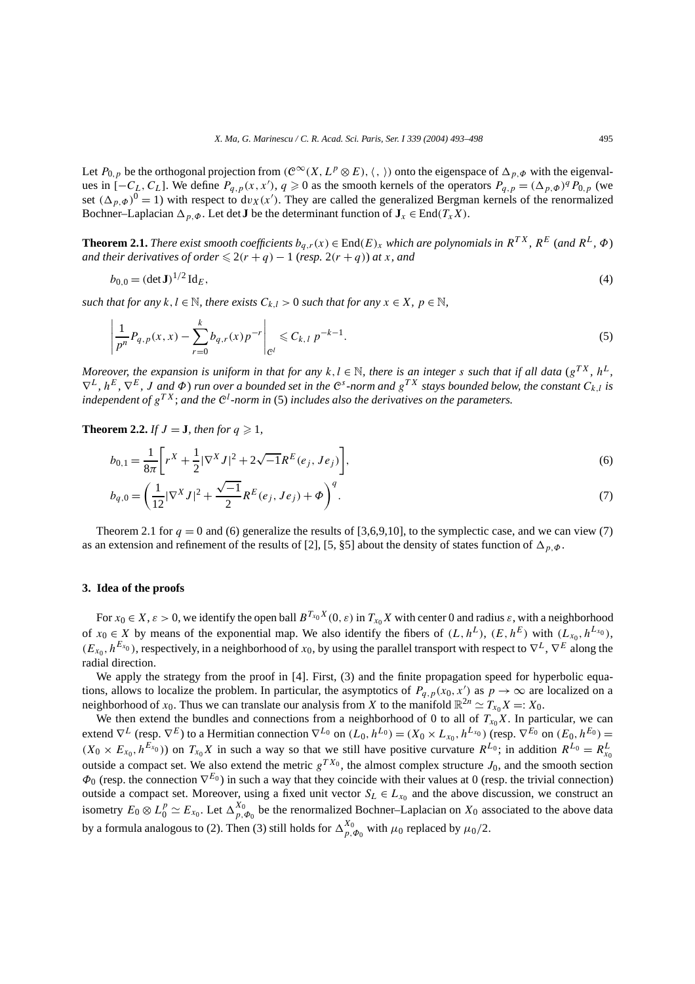Let  $P_{0,p}$  be the orthogonal projection from  $(\mathcal{C}^{\infty}(X, L^p \otimes E), \langle , \rangle)$  onto the eigenspace of  $\Delta_{p,\Phi}$  with the eigenvalues in  $[-C_L, C_L]$ . We define  $P_{q,p}(x, x')$ ,  $q \ge 0$  as the smooth kernels of the operators  $P_{q,p} = (\Delta_{p,p} e)^q P_{0,p}$  (we set  $(\Delta_{p,\Phi})^0 = 1$ ) with respect to  $dv_X(x')$ . They are called the generalized Bergman kernels of the renormalized Bochner–Laplacian  $\Delta_{p,\Phi}$ . Let det **J** be the determinant function of  $J_x \in End(T_x X)$ .

**Theorem 2.1.** *There exist smooth coefficients*  $b_{q,r}(x) \in \text{End}(E)_x$  *which are polynomials in*  $R^{TX}$ *,*  $R^{E}$  (*and*  $R^{L}$ *,*  $\Phi$ ) *and their derivatives of order*  $\leq 2(r+q) - 1$  (*resp.*  $2(r+q)$ *) at x, and* 

$$
b_{0,0} = (\det \mathbf{J})^{1/2} \operatorname{Id}_E,\tag{4}
$$

*such that for any*  $k, l \in \mathbb{N}$ *, there exists*  $C_{k,l} > 0$  *such that for any*  $x \in X$ *,*  $p \in \mathbb{N}$ *,* 

$$
\left|\frac{1}{p^n}P_{q,p}(x,x)-\sum_{r=0}^k b_{q,r}(x)p^{-r}\right|_{\mathcal{C}^l} \leqslant C_{k,l} p^{-k-1}.
$$
\n<sup>(5)</sup>

*Moreover, the expansion is uniform in that for any*  $k, l \in \mathbb{N}$ , there is an integer *s* such that if all data ( $g^{TX}$ ,  $h^{L}$ ,  $\nabla^L$ ,  $h^E$ ,  $\nabla^E$ , J and  $\Phi$ ) run over a bounded set in the C<sup>s</sup>-norm and g<sup>TX</sup> stays bounded below, the constant  $C_{k,l}$  is *independent of gT X*; *and the* C*<sup>l</sup> -norm in* (5) *includes also the derivatives on the parameters.*

**Theorem 2.2.** *If*  $J = J$ *, then for*  $q \ge 1$ *,* 

$$
b_{0,1} = \frac{1}{8\pi} \bigg[ r^X + \frac{1}{2} |\nabla^X J|^2 + 2\sqrt{-1} R^E(e_j, Je_j) \bigg],\tag{6}
$$

$$
b_{q,0} = \left(\frac{1}{12}|\nabla^X J|^2 + \frac{\sqrt{-1}}{2}R^E(e_j, Je_j) + \Phi\right)^q.
$$
 (7)

Theorem 2.1 for  $q = 0$  and (6) generalize the results of [3,6,9,10], to the symplectic case, and we can view (7) as an extension and refinement of the results of [2], [5, §5] about the density of states function of  $\Delta_{p,\phi}$ .

#### **3. Idea of the proofs**

For  $x_0 \in X$ ,  $\varepsilon > 0$ , we identify the open ball  $B^{T_{x_0}X}(0, \varepsilon)$  in  $T_{x_0}X$  with center 0 and radius  $\varepsilon$ , with a neighborhood of  $x_0 \in X$  by means of the exponential map. We also identify the fibers of  $(L, h^L)$ ,  $(E, h^E)$  with  $(L_{x_0}, h^{L_{x_0}})$ ,  $(E_{x_0}, h^{E_{x_0}})$ , respectively, in a neighborhood of  $x_0$ , by using the parallel transport with respect to  $\nabla^L$ ,  $\nabla^E$  along the radial direction.

We apply the strategy from the proof in [4]. First, (3) and the finite propagation speed for hyperbolic equations, allows to localize the problem. In particular, the asymptotics of  $P_{q,p}(x_0, x')$  as  $p \to \infty$  are localized on a neighborhood of  $x_0$ . Thus we can translate our analysis from *X* to the manifold  $\mathbb{R}^{2n} \simeq T_{x_0}X =: X_0$ .

We then extend the bundles and connections from a neighborhood of 0 to all of  $T_{x_0}X$ . In particular, we can extend  $\nabla^L$  (resp.  $\nabla^E$ ) to a Hermitian connection  $\nabla^{L_0}$  on  $(L_0, h^{L_0}) = (X_0 \times L_{x_0}, h^{L_{x_0}})$  (resp.  $\nabla^{E_0}$  on  $(E_0, h^{E_0}) =$  $(X_0 \times E_{x_0}, h^{E_{x_0}})$  on  $T_{x_0}X$  in such a way so that we still have positive curvature  $R^{L_0}$ ; in addition  $R^{L_0} = R_{x_0}^L$ outside a compact set. We also extend the metric  $g^{TX_0}$ , the almost complex structure  $J_0$ , and the smooth section *Φ*<sub>0</sub> (resp. the connection  $∇^{E_0}$ ) in such a way that they coincide with their values at 0 (resp. the trivial connection) outside a compact set. Moreover, using a fixed unit vector  $S_L \in L_{x_0}$  and the above discussion, we construct an isometry  $E_0 \otimes L_0^p \simeq E_{x_0}$ . Let  $\Delta_{p,\Phi_0}^{X_0}$  be the renormalized Bochner–Laplacian on  $X_0$  associated to the above data by a formula analogous to (2). Then (3) still holds for  $\Delta_{p,\Phi_0}^{X_0}$  with  $\mu_0$  replaced by  $\mu_0/2$ .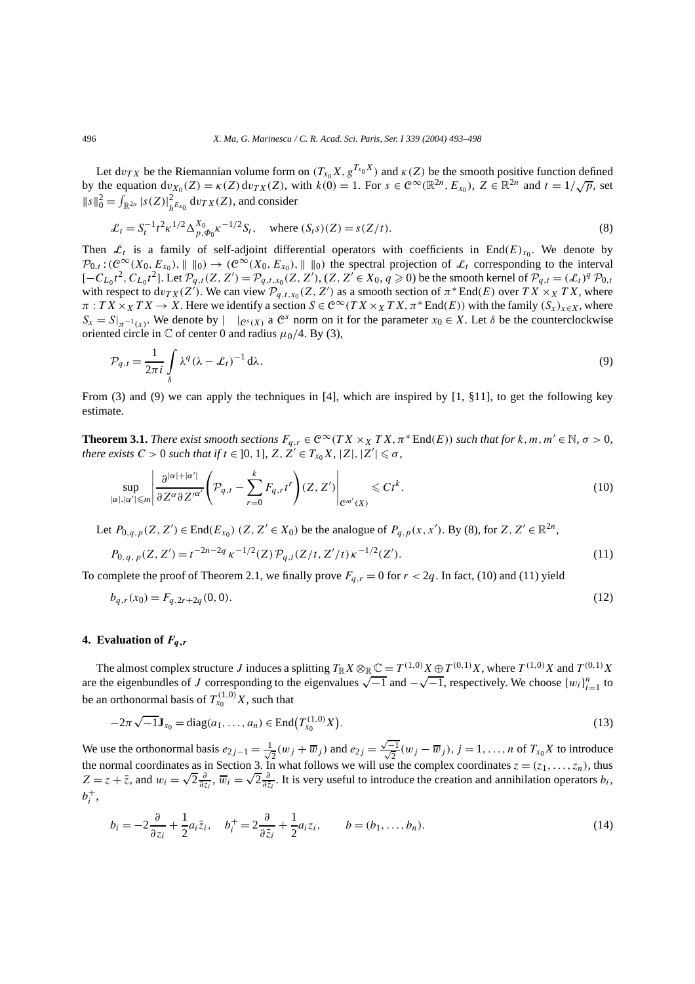Let  $dv_{TX}$  be the Riemannian volume form on  $(T_{x_0}X, g^{T_{x_0}X})$  and  $\kappa(Z)$  be the smooth positive function defined by the equation  $dv_{X_0}(Z) = \kappa(Z) dv_{TX}(Z)$ , with  $k(0) = 1$ . For  $s \in \mathcal{C}^{\infty}(\mathbb{R}^{2n}, E_{X_0})$ ,  $Z \in \mathbb{R}^{2n}$  and  $t = 1/\sqrt{p}$ , set  $||s||_0^2 = \int_{\mathbb{R}^{2n}} |s(Z)|_{h^{E_{x_0}}}^2 dv_{TX}(Z)$ , and consider

$$
\mathcal{L}_t = S_t^{-1} t^2 \kappa^{1/2} \Delta_{p,\Phi_0}^{X_0} \kappa^{-1/2} S_t, \quad \text{where } (S_t s)(Z) = s(Z/t).
$$
 (8)

Then  $\mathcal{L}_t$  is a family of self-adjoint differential operators with coefficients in End $(E)_{x_0}$ . We denote by  $\mathcal{P}_{0,t}$ : $(\mathcal{C}^{\infty}(X_0, E_{x_0}), \| \|_{0}) \to (\mathcal{C}^{\infty}(X_0, E_{x_0}), \| \|_{0})$  the spectral projection of  $\mathcal{L}_t$  corresponding to the interval  $[-C_{L_0}t^2, C_{L_0}t^2]$ . Let  $\mathcal{P}_{q,t}(Z, Z') = \mathcal{P}_{q,t,x_0}(Z, Z'), (Z, Z' \in X_0, q \ge 0)$  be the smooth kernel of  $\mathcal{P}_{q,t} = (\mathcal{L}_t)^q \mathcal{P}_{0,t}$ with respect to  $dv_{TX}(Z')$ . We can view  $\mathcal{P}_{q,t,x_0}(Z, Z')$  as a smooth section of  $\pi^*$  End*(E)* over  $TX \times_X TX$ , where  $\pi$  :  $TX \times_X TX \to X$ . Here we identify a section  $S \in \mathcal{C}^\infty(T X \times_X TX, \pi^* \text{End}(E))$  with the family  $(S_x)_{x \in X}$ , where  $S_x = S|_{\pi^{-1}(x)}$ . We denote by  $| \cdot |_{C^s(X)}$  a  $C^s$  norm on it for the parameter  $x_0 \in X$ . Let  $\delta$  be the counterclockwise oriented circle in  $\mathbb C$  of center 0 and radius  $\mu_0/4$ . By (3),

$$
\mathcal{P}_{q,t} = \frac{1}{2\pi i} \int_{\delta} \lambda^q (\lambda - \mathcal{L}_t)^{-1} d\lambda.
$$
\n(9)

From (3) and (9) we can apply the techniques in [4], which are inspired by [1, §11], to get the following key estimate.

**Theorem 3.1.** *There exist smooth sections*  $F_{q,r} \in C^{\infty}(TX \times_X TX, \pi^* \text{End}(E))$  *such that for*  $k, m, m' \in \mathbb{N}, \sigma > 0$ , *there exists*  $C > 0$  *such that if*  $t \in [0, 1]$ ,  $Z, Z' \in T_{x_0}X$ ,  $|Z|, |Z'| \leq \sigma$ ,

$$
\sup_{|\alpha|,|\alpha'| \leqslant m} \left| \frac{\partial^{|\alpha|+|\alpha'|}}{\partial Z^{\alpha} \partial Z'^{\alpha'}} \left( \mathcal{P}_{q,t} - \sum_{r=0}^{k} F_{q,r} t^r \right) (Z, Z') \right|_{\mathcal{C}^{m'}(X)} \leqslant C t^k.
$$
\n
$$
(10)
$$

Let  $P_{0,q,p}(Z, Z') \in \text{End}(E_{x_0})$   $(Z, Z' \in X_0)$  be the analogue of  $P_{q,p}(x, x')$ . By (8), for  $Z, Z' \in \mathbb{R}^{2n}$ ,

$$
P_{0,q,p}(Z,Z') = t^{-2n-2q} \kappa^{-1/2}(Z) \mathcal{P}_{q,t}(Z/t, Z'/t) \kappa^{-1/2}(Z').
$$
\n(11)

To complete the proof of Theorem 2.1, we finally prove  $F_{q,r} = 0$  for  $r < 2q$ . In fact, (10) and (11) yield

$$
b_{q,r}(x_0) = F_{q,2r+2q}(0,0). \tag{12}
$$

#### **4. Evaluation of** *Fq,r*

The almost complex structure J induces a splitting  $T_{\mathbb{R}}X\otimes_{\mathbb{R}}\mathbb{C}=T^{(1,0)}X\oplus T^{(0,1)}X$ , where  $T^{(1,0)}X$  and  $T^{(0,1)}X$ The aimost complex structure *J* induces a splitting  $I \r R X \otimes \r R \r L = I \r N \r N X \r R$ , where  $I \r N \r N X$  and  $I \r N \r N X$ <br>are the eigenbundles of *J* corresponding to the eigenvalues  $\sqrt{-1}$  and  $-\sqrt{-1}$ , respectively. We choose be an orthonormal basis of  $T_{x_0}^{(1,0)}X$ , such that

$$
-2\pi\sqrt{-1}J_{x_0} = \text{diag}(a_1,\ldots,a_n) \in \text{End}\big(T_{x_0}^{(1,0)}X\big).
$$
\n(13)

We use the orthonormal basis  $e_{2j-1} = \frac{1}{\sqrt{2}}$  $\frac{1}{2}(w_j + \overline{w}_j)$  and  $e_{2j} =$  $\frac{\sqrt{-1}}{\sqrt{2}}$  (*w<sub>j</sub>* −  $\overline{w}_j$ ), *j* = 1, ..., *n* of *T<sub>x0</sub>X* to introduce the normal coordinates as in Section 3. In what follows we will use the complex coordinates  $z = (z_1, ..., z_n)$ , thus  $Z = z + \overline{z}$ , and  $w_i = \sqrt{2} \frac{\partial}{\partial z_i}$ ,  $\overline{w}_i = \sqrt{2} \frac{\partial}{\partial \overline{z}_i}$ . It is very useful to introduce the cr  $b_i^+$ 

$$
b_i = -2\frac{\partial}{\partial z_i} + \frac{1}{2}a_i\overline{z}_i, \quad b_i^+ = 2\frac{\partial}{\partial \overline{z}_i} + \frac{1}{2}a_i z_i, \qquad b = (b_1, \dots, b_n).
$$
\n<sup>(14)</sup>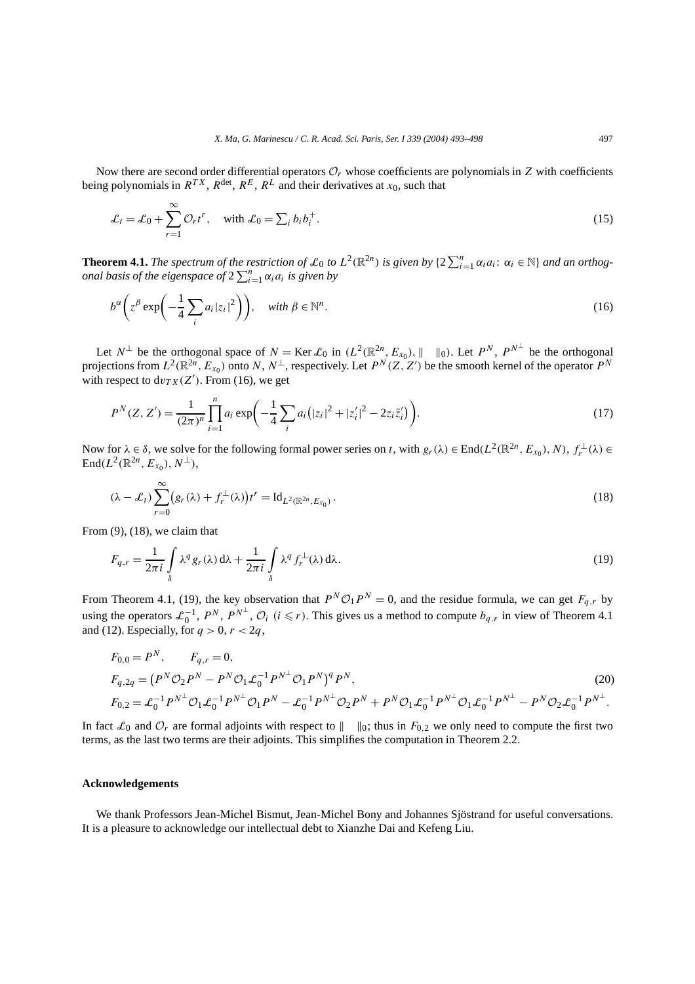Now there are second order differential operators  $\mathcal{O}_r$  whose coefficients are polynomials in *Z* with coefficients being polynomials in  $R^{TX}$ ,  $R^{\text{det}}$ ,  $R^{E}$ ,  $R^{L}$  and their derivatives at  $x_0$ , such that

$$
\mathcal{L}_t = \mathcal{L}_0 + \sum_{r=1}^{\infty} \mathcal{O}_r t^r, \quad \text{with } \mathcal{L}_0 = \sum_i b_i b_i^+.
$$
 (15)

**Theorem 4.1.** *The spectrum of the restriction of*  $\mathcal{L}_0$  *to*  $L^2(\mathbb{R}^{2n})$  *is given by*  $\{2\sum_{i=1}^n \alpha_i a_i : \alpha_i \in \mathbb{N}\}$  *and an orthogonal basis of the eigenspace of*  $2 \sum_{i=1}^{n} \alpha_i a_i$  *is given by* 

$$
b^{\alpha}\left(z^{\beta}\exp\left(-\frac{1}{4}\sum_{i}a_{i}|z_{i}|^{2}\right)\right), \quad \text{with } \beta \in \mathbb{N}^{n}.
$$
 (16)

Let  $N^{\perp}$  be the orthogonal space of  $N = \text{Ker } \mathcal{L}_0$  in  $(L^2(\mathbb{R}^{2n}, E_{x_0}), || \cdot ||_0)$ . Let  $P^N$ ,  $P^{N^{\perp}}$  be the orthogonal projections from  $L^2(\mathbb{R}^{2n}, E_{x_0})$  onto *N*,  $N^{\perp}$ , respectively. Let  $P^N(Z, Z')$  be the smooth kernel of the operator  $P^N$ with respect to  $dv_{TX}(Z')$ . From (16), we get

$$
P^{N}(Z, Z') = \frac{1}{(2\pi)^{n}} \prod_{i=1}^{n} a_{i} \exp\left(-\frac{1}{4} \sum_{i} a_{i} (|z_{i}|^{2} + |z'_{i}|^{2} - 2z_{i} \bar{z}'_{i})\right).
$$
 (17)

Now for  $\lambda \in \delta$ , we solve for the following formal power series on *t*, with  $g_r(\lambda) \in \text{End}(L^2(\mathbb{R}^{2n}, E_{x_0}), N)$ ,  $f_r^{\perp}(\lambda) \in$  $\text{End}(L^2(\mathbb{R}^{2n}, E_{x_0}), N^{\perp}),$ 

$$
(\lambda - \mathcal{L}_t) \sum_{r=0}^{\infty} \left( g_r(\lambda) + f_r^{\perp}(\lambda) \right) t^r = \mathrm{Id}_{L^2(\mathbb{R}^{2n}, E_{x_0})} \,. \tag{18}
$$

From  $(9)$ ,  $(18)$ , we claim that

$$
F_{q,r} = \frac{1}{2\pi i} \int_{\delta} \lambda^q g_r(\lambda) d\lambda + \frac{1}{2\pi i} \int_{\delta} \lambda^q f_r^{\perp}(\lambda) d\lambda.
$$
 (19)

From Theorem 4.1, (19), the key observation that  $P^N \mathcal{O}_1 P^N = 0$ , and the residue formula, we can get  $F_{q,r}$  by using the operators  $\mathcal{L}_0^{-1}$ ,  $P^N$ ,  $P^{N^{\perp}}$ ,  $\mathcal{O}_i$  ( $i \leq r$ ). This gives us a method to compute  $b_{q,r}$  in view of Theorem 4.1 and (12). Especially, for  $q > 0$ ,  $r < 2q$ ,

$$
F_{0,0} = P^N, \t F_{q,r} = 0,
$$
  
\n
$$
F_{q,2q} = (P^N \mathcal{O}_2 P^N - P^N \mathcal{O}_1 \mathcal{L}_0^{-1} P^{N^{\perp}} \mathcal{O}_1 P^N)^q P^N,
$$
  
\n
$$
F_{0,2} = \mathcal{L}_0^{-1} P^{N^{\perp}} \mathcal{O}_1 \mathcal{L}_0^{-1} P^{N^{\perp}} \mathcal{O}_1 P^N - \mathcal{L}_0^{-1} P^{N^{\perp}} \mathcal{O}_2 P^N + P^N \mathcal{O}_1 \mathcal{L}_0^{-1} P^{N^{\perp}} \mathcal{O}_1 \mathcal{L}_0^{-1} P^{N^{\perp}} - P^N \mathcal{O}_2 \mathcal{L}_0^{-1} P^{N^{\perp}}.
$$
\n(20)

In fact  $\mathcal{L}_0$  and  $\mathcal{O}_r$  are formal adjoints with respect to  $\|\cdot\|_0$ ; thus in  $F_{0,2}$  we only need to compute the first two terms, as the last two terms are their adjoints. This simplifies the computation in Theorem 2.2.

#### **Acknowledgements**

We thank Professors Jean-Michel Bismut, Jean-Michel Bony and Johannes Sjöstrand for useful conversations. It is a pleasure to acknowledge our intellectual debt to Xianzhe Dai and Kefeng Liu.